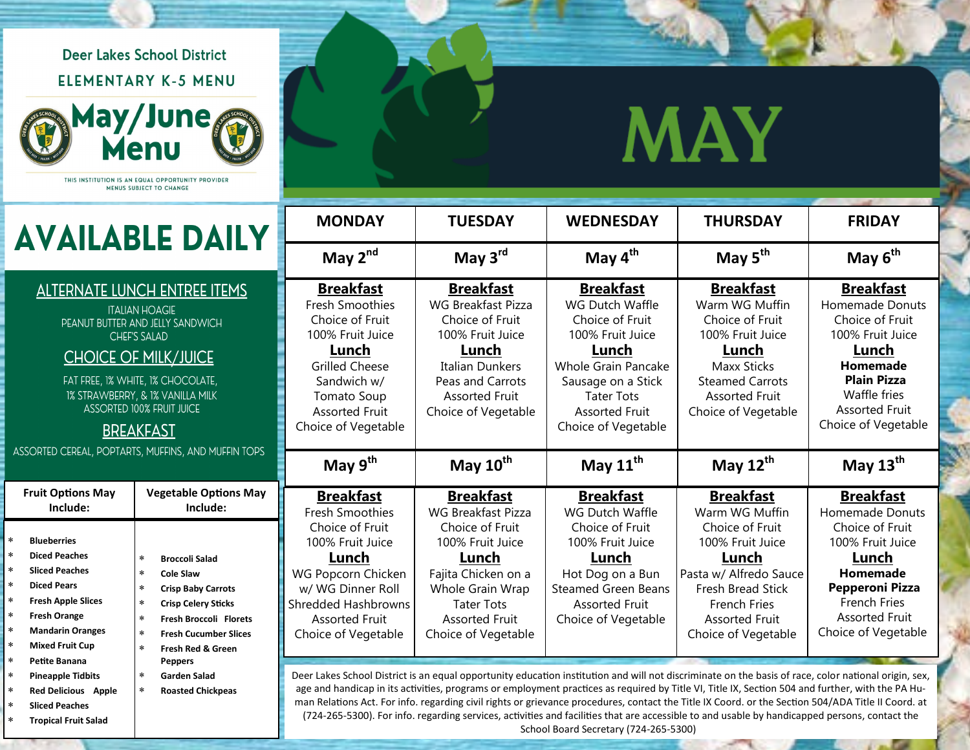**Deer Lakes School District ELEMENTARY K-5 MENU** 



THIS INSTITUTION IS AN EQUAL OPPORTUNITY PROVIDER MENUS SUBJECT TO CHANGE

 **[Pineapple Tidbits](javascript:void(84775852)) [Red Delicious Apple](javascript:void(17154141)) [Sliced Peaches](javascript:void(30062223)) [Tropical Fruit Salad](javascript:void(97688616))**

 **[Garden Salad](javascript:void(7544949)) [Roasted Chickpeas](javascript:void(52113019))**

## **MAY**

| <b>AVAILABLE DAILY</b>                                                                                                                                                                                                                                                                  |                                                                                                                                                                                                                                                                       | <b>MONDAY</b>                                                                                                                                                                                            | <b>TUESDAY</b>                                                                                                                                                                       | <b>WEDNESDAY</b>                                                                                                                                                                                             | <b>THURSDAY</b>                                                                                                                                                                    | <b>FRIDAY</b>                                                                                                                                                                         |
|-----------------------------------------------------------------------------------------------------------------------------------------------------------------------------------------------------------------------------------------------------------------------------------------|-----------------------------------------------------------------------------------------------------------------------------------------------------------------------------------------------------------------------------------------------------------------------|----------------------------------------------------------------------------------------------------------------------------------------------------------------------------------------------------------|--------------------------------------------------------------------------------------------------------------------------------------------------------------------------------------|--------------------------------------------------------------------------------------------------------------------------------------------------------------------------------------------------------------|------------------------------------------------------------------------------------------------------------------------------------------------------------------------------------|---------------------------------------------------------------------------------------------------------------------------------------------------------------------------------------|
|                                                                                                                                                                                                                                                                                         |                                                                                                                                                                                                                                                                       | May $2^{nd}$                                                                                                                                                                                             | May $3rd$                                                                                                                                                                            | May $4^{\text{th}}$                                                                                                                                                                                          | May $5^{\text{th}}$                                                                                                                                                                | May $6^{th}$                                                                                                                                                                          |
| <b>ALTERNATE LUNCH ENTREE ITEMS</b><br><b>ITALIAN HOAGIE</b><br>PEANUT BUTTER AND JELLY SANDWICH<br><b>CHEF'S SALAD</b><br><b>CHOICE OF MILK/JUICE</b><br>FAT FREE, 1% WHITE, 1% CHOCOLATE,<br>1% STRAWBERRY, & 1% VANILLA MILK<br><b>ASSORTED 100% FRUIT JUICE</b><br><b>BREAKFAST</b> |                                                                                                                                                                                                                                                                       | <b>Breakfast</b><br><b>Fresh Smoothies</b><br>Choice of Fruit<br>100% Fruit Juice<br>Lunch<br><b>Grilled Cheese</b><br>Sandwich w/<br><b>Tomato Soup</b><br><b>Assorted Fruit</b><br>Choice of Vegetable | <b>Breakfast</b><br><b>WG Breakfast Pizza</b><br>Choice of Fruit<br>100% Fruit Juice<br>Lunch<br>Italian Dunkers<br>Peas and Carrots<br><b>Assorted Fruit</b><br>Choice of Vegetable | <b>Breakfast</b><br>WG Dutch Waffle<br>Choice of Fruit<br>100% Fruit Juice<br>Lunch<br><b>Whole Grain Pancake</b><br>Sausage on a Stick<br><b>Tater Tots</b><br><b>Assorted Fruit</b><br>Choice of Vegetable | <b>Breakfast</b><br>Warm WG Muffin<br>Choice of Fruit<br>100% Fruit Juice<br>Lunch<br><b>Maxx Sticks</b><br><b>Steamed Carrots</b><br><b>Assorted Fruit</b><br>Choice of Vegetable | <b>Breakfast</b><br>Homemade Donuts<br>Choice of Fruit<br>100% Fruit Juice<br>Lunch<br>Homemade<br><b>Plain Pizza</b><br>Waffle fries<br><b>Assorted Fruit</b><br>Choice of Vegetable |
| ASSORTED CEREAL, POPTARTS, MUFFINS, AND MUFFIN TOPS                                                                                                                                                                                                                                     |                                                                                                                                                                                                                                                                       | May $9^{th}$                                                                                                                                                                                             | May $10^{\text{th}}$                                                                                                                                                                 | May $11^{\text{th}}$                                                                                                                                                                                         | May $12^{th}$                                                                                                                                                                      | May $13th$                                                                                                                                                                            |
| <b>Fruit Options May</b><br>Include:                                                                                                                                                                                                                                                    | <b>Vegetable Options May</b><br>Include:                                                                                                                                                                                                                              | <b>Breakfast</b><br><b>Fresh Smoothies</b>                                                                                                                                                               | <b>Breakfast</b><br><b>WG Breakfast Pizza</b>                                                                                                                                        | <b>Breakfast</b><br>WG Dutch Waffle                                                                                                                                                                          | <b>Breakfast</b><br>Warm WG Muffin                                                                                                                                                 | <b>Breakfast</b><br><b>Homemade Donuts</b>                                                                                                                                            |
| ÷<br><b>Blueberries</b><br><b>Diced Peaches</b><br><b>Sliced Peaches</b><br><b>Diced Pears</b><br><b>Fresh Apple Slices</b><br><b>Fresh Orange</b><br><b>Mandarin Oranges</b>                                                                                                           | $\star$<br><b>Broccoli Salad</b><br>$\star$<br><b>Cole Slaw</b><br>$\star$<br><b>Crisp Baby Carrots</b><br><b>Crisp Celery Sticks</b><br>$\ast$<br>$\star$<br><b>Fresh Broccoli Florets</b><br>$\ast$<br><b>Fresh Cucumber Slices</b><br><b>Fresh Red &amp; Green</b> | Choice of Fruit<br>100% Fruit Juice<br>Lunch<br>WG Popcorn Chicken<br>w/ WG Dinner Roll<br><b>Shredded Hashbrowns</b><br><b>Assorted Fruit</b><br>Choice of Vegetable                                    | Choice of Fruit<br>100% Fruit Juice<br>Lunch<br>Fajita Chicken on a<br>Whole Grain Wrap<br><b>Tater Tots</b><br><b>Assorted Fruit</b><br>Choice of Vegetable                         | Choice of Fruit<br>100% Fruit Juice<br>Lunch<br>Hot Dog on a Bun<br><b>Steamed Green Beans</b><br><b>Assorted Fruit</b><br>Choice of Vegetable                                                               | Choice of Fruit<br>100% Fruit Juice<br>Lunch<br>Pasta w/ Alfredo Sauce<br>Fresh Bread Stick<br><b>French Fries</b><br><b>Assorted Fruit</b><br>Choice of Vegetable                 | Choice of Fruit<br>100% Fruit Juice<br>Lunch<br>Homemade<br><b>Pepperoni Pizza</b><br><b>French Fries</b><br><b>Assorted Fruit</b><br>Choice of Vegetable                             |
| <b>Mixed Fruit Cup</b>                                                                                                                                                                                                                                                                  |                                                                                                                                                                                                                                                                       |                                                                                                                                                                                                          |                                                                                                                                                                                      |                                                                                                                                                                                                              |                                                                                                                                                                                    |                                                                                                                                                                                       |

Deer Lakes School District is an equal opportunity education institution and will not discriminate on the basis of race, color national origin, sex, age and handicap in its activities, programs or employment practices as required by Title VI, Title IX, Section 504 and further, with the PA Human Relations Act. For info. regarding civil rights or grievance procedures, contact the Title IX Coord. or the Section 504/ADA Title II Coord. at (724-265-5300). For info. regarding services, activities and facilities that are accessible to and usable by handicapped persons, contact the School Board Secretary (724-265-5300)

œ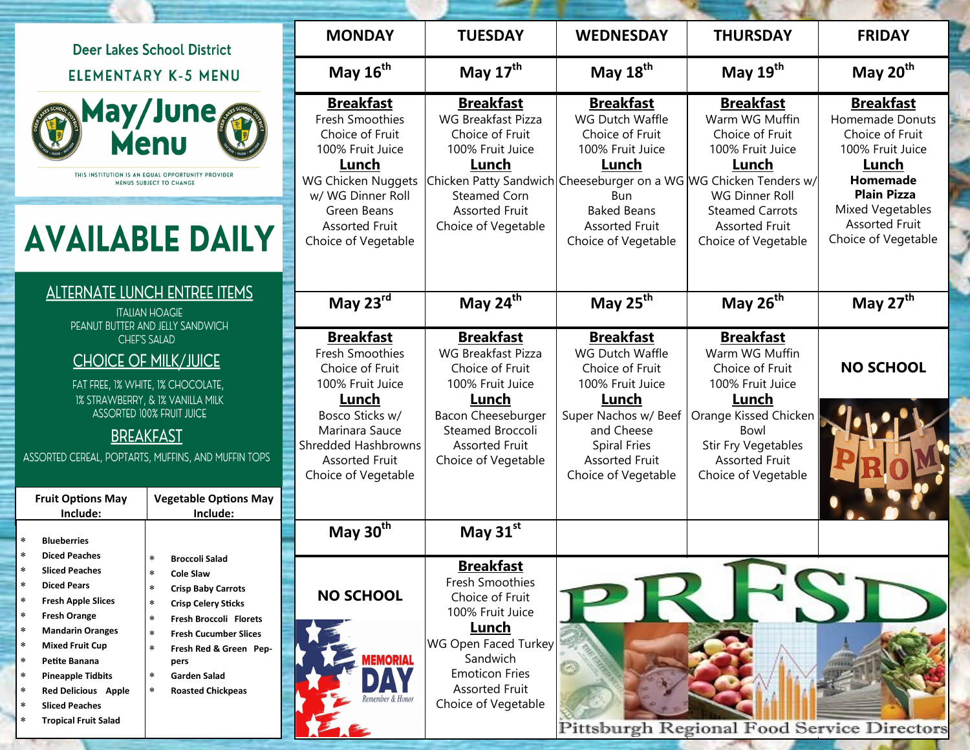| <b>Deer Lakes School District</b><br><b>ELEMENTARY K-5 MENU</b>                                                                                                                                                                                                          |                                                                                                                                                                                                                                                        | <b>MONDAY</b>                                                                                                                                        | <b>TUESDAY</b>                                                                                                                                                                   | <b>WEDNESDAY</b>                                                                                                                                                                      | <b>THURSDAY</b>                                                                                                                | <b>FRIDAY</b>                                                                                                                                                      |
|--------------------------------------------------------------------------------------------------------------------------------------------------------------------------------------------------------------------------------------------------------------------------|--------------------------------------------------------------------------------------------------------------------------------------------------------------------------------------------------------------------------------------------------------|------------------------------------------------------------------------------------------------------------------------------------------------------|----------------------------------------------------------------------------------------------------------------------------------------------------------------------------------|---------------------------------------------------------------------------------------------------------------------------------------------------------------------------------------|--------------------------------------------------------------------------------------------------------------------------------|--------------------------------------------------------------------------------------------------------------------------------------------------------------------|
|                                                                                                                                                                                                                                                                          |                                                                                                                                                                                                                                                        | May 16 <sup>th</sup>                                                                                                                                 | May $17^{\text{th}}$                                                                                                                                                             | May 18 <sup>th</sup>                                                                                                                                                                  | May 19 <sup>th</sup>                                                                                                           | May $20th$                                                                                                                                                         |
| May/June<br>Menu<br>THIS INSTITUTION IS AN EQUAL OPPORTUNITY PROVIDER<br>MENUS SUBJECT TO CHANGE                                                                                                                                                                         |                                                                                                                                                                                                                                                        | <b>Breakfast</b><br>Fresh Smoothies<br>Choice of Fruit<br>100% Fruit Juice<br>Lunch<br><b>WG Chicken Nuggets</b><br>w/ WG Dinner Roll<br>Green Beans | <b>Breakfast</b><br>WG Breakfast Pizza<br>Choice of Fruit<br>100% Fruit Juice<br>Lunch<br>Steamed Corn<br><b>Assorted Fruit</b>                                                  | <b>Breakfast</b><br>WG Dutch Waffle<br>Choice of Fruit<br>100% Fruit Juice<br>Lunch<br>Chicken Patty Sandwich Cheeseburger on a WG WG Chicken Tenders w/<br>Bun<br><b>Baked Beans</b> | <b>Breakfast</b><br>Warm WG Muffin<br>Choice of Fruit<br>100% Fruit Juice<br>Lunch<br>WG Dinner Roll<br><b>Steamed Carrots</b> | <b>Breakfast</b><br>Homemade Donuts<br>Choice of Fruit<br>100% Fruit Juice<br>Lunch<br>Homemade<br><b>Plain Pizza</b><br>Mixed Vegetables<br><b>Assorted Fruit</b> |
| <b>AVAILABLE DAILY</b>                                                                                                                                                                                                                                                   |                                                                                                                                                                                                                                                        | <b>Assorted Fruit</b><br>Choice of Vegetable                                                                                                         | Choice of Vegetable                                                                                                                                                              | <b>Assorted Fruit</b><br>Choice of Vegetable                                                                                                                                          | <b>Assorted Fruit</b><br>Choice of Vegetable                                                                                   | Choice of Vegetable                                                                                                                                                |
| <b>ALTERNATE LUNCH ENTREE ITEMS</b><br><b>ITALIAN HOAGIE</b><br>PEANUT BUTTER AND JELLY SANDWICH                                                                                                                                                                         |                                                                                                                                                                                                                                                        | May 23rd                                                                                                                                             | May 24 <sup>th</sup>                                                                                                                                                             | May 25 <sup>th</sup>                                                                                                                                                                  | May 26 <sup>th</sup>                                                                                                           | May 27 <sup>th</sup>                                                                                                                                               |
| <b>CHEF'S SALAD</b><br><b>CHOICE OF MILK/JUICE</b><br>FAT FREE, 1% WHITE, 1% CHOCOLATE,                                                                                                                                                                                  |                                                                                                                                                                                                                                                        | <b>Breakfast</b><br>Fresh Smoothies<br>Choice of Fruit<br>100% Fruit Juice<br>Lunch                                                                  | <b>Breakfast</b><br><b>WG Breakfast Pizza</b><br>Choice of Fruit<br>100% Fruit Juice<br>Lunch                                                                                    | <b>Breakfast</b><br>WG Dutch Waffle<br>Choice of Fruit<br>100% Fruit Juice<br>Lunch                                                                                                   | <b>Breakfast</b><br>Warm WG Muffin<br>Choice of Fruit<br>100% Fruit Juice<br>Lunch                                             | <b>NO SCHOOL</b>                                                                                                                                                   |
| 1% STRAWBERRY, & 1% VANILLA MILK<br><b>ASSORTED 100% FRUIT JUICE</b><br><b>BREAKFAST</b><br>ASSORTED CEREAL, POPTARTS, MUFFINS, AND MUFFIN TOPS                                                                                                                          |                                                                                                                                                                                                                                                        | Bosco Sticks w/<br>Marinara Sauce<br>Shredded Hashbrowns<br><b>Assorted Fruit</b><br>Choice of Vegetable                                             | Bacon Cheeseburger<br>Steamed Broccoli<br><b>Assorted Fruit</b><br>Choice of Vegetable                                                                                           | Super Nachos w/ Beef<br>and Cheese<br><b>Spiral Fries</b><br><b>Assorted Fruit</b><br>Choice of Vegetable                                                                             | Orange Kissed Chicken<br>Bowl<br>Stir Fry Vegetables<br><b>Assorted Fruit</b><br>Choice of Vegetable                           |                                                                                                                                                                    |
| <b>Fruit Options May</b><br>Include:                                                                                                                                                                                                                                     | <b>Vegetable Options May</b><br>Include:                                                                                                                                                                                                               |                                                                                                                                                      |                                                                                                                                                                                  |                                                                                                                                                                                       |                                                                                                                                |                                                                                                                                                                    |
| <b>Blueberries</b><br><b>Diced Peaches</b>                                                                                                                                                                                                                               |                                                                                                                                                                                                                                                        | May $30th$                                                                                                                                           | May 31st                                                                                                                                                                         |                                                                                                                                                                                       |                                                                                                                                |                                                                                                                                                                    |
| <b>Sliced Peaches</b><br><b>Diced Pears</b><br><b>Fresh Apple Slices</b><br>$\star$<br><b>Fresh Orange</b><br><b>Mandarin Oranges</b><br>$\ast$<br>$\ast$<br><b>Mixed Fruit Cup</b><br>Petite Banana<br>$\ast$<br><b>Pineapple Tidbits</b><br><b>Red Delicious Apple</b> | <b>Broccoli Salad</b><br><b>Cole Slaw</b><br>$\ast$<br><b>Crisp Baby Carrots</b><br><b>Crisp Celery Sticks</b><br>Fresh Broccoli Florets<br><b>Fresh Cucumber Slices</b><br>Fresh Red & Green Pep-<br>pers<br>Garden Salad<br><b>Roasted Chickpeas</b> | <b>NO SCHOOL</b><br><b>MEMORIAL</b>                                                                                                                  | <b>Breakfast</b><br>Fresh Smoothies<br>Choice of Fruit<br>100% Fruit Juice<br>Lunch<br><b>WG Open Faced Turkey</b><br>Sandwich<br><b>Emoticon Fries</b><br><b>Assorted Fruit</b> |                                                                                                                                                                                       |                                                                                                                                |                                                                                                                                                                    |
| <b>Sliced Peaches</b><br><b>Tropical Fruit Salad</b>                                                                                                                                                                                                                     |                                                                                                                                                                                                                                                        |                                                                                                                                                      | Choice of Vegetable                                                                                                                                                              |                                                                                                                                                                                       | Pittsburgh Regional Food Service Directors                                                                                     |                                                                                                                                                                    |